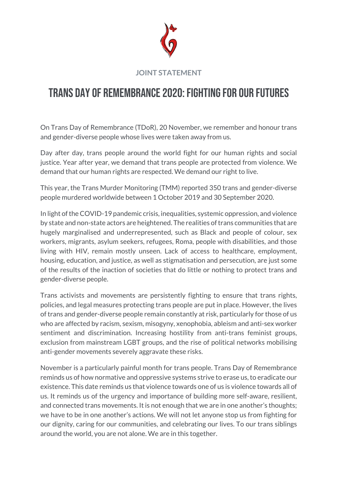

## **JOINT STATEMENT**

## Trans Day of Remembrance 2020: Fighting for our futures

On Trans Day of Remembrance (TDoR), 20 November, we remember and honour trans and gender-diverse people whose lives were taken away from us.

Day after day, trans people around the world fight for our human rights and social justice. Year after year, we demand that trans people are protected from violence. We demand that our human rights are respected. We demand our right to live.

This year, the Trans Murder Monitoring (TMM) reported 350 trans and gender-diverse people murdered worldwide between 1 October 2019 and 30 September 2020.

In light of the COVID-19 pandemic crisis, inequalities, systemic oppression, and violence by state and non-state actors are heightened. The realities of trans communities that are hugely marginalised and underrepresented, such as Black and people of colour, sex workers, migrants, asylum seekers, refugees, Roma, people with disabilities, and those living with HIV, remain mostly unseen. Lack of access to healthcare, employment, housing, education, and justice, as well as stigmatisation and persecution, are just some of the results of the inaction of societies that do little or nothing to protect trans and gender-diverse people.

Trans activists and movements are persistently fighting to ensure that trans rights, policies, and legal measures protecting trans people are put in place. However, the lives of trans and gender-diverse people remain constantly at risk, particularly for those of us who are affected by racism, sexism, misogyny, xenophobia, ableism and anti-sex worker sentiment and discrimination. Increasing hostility from anti-trans feminist groups, exclusion from mainstream LGBT groups, and the rise of political networks mobilising anti-gender movements severely aggravate these risks.

November is a particularly painful month for trans people. Trans Day of Remembrance reminds us of how normative and oppressive systems strive to erase us, to eradicate our existence. This date reminds us that violence towards one of us is violence towards all of us. It reminds us of the urgency and importance of building more self-aware, resilient, and connected trans movements. It is not enough that we are in one another's thoughts; we have to be in one another's actions. We will not let anyone stop us from fighting for our dignity, caring for our communities, and celebrating our lives. To our trans siblings around the world, you are not alone. We are in this together.